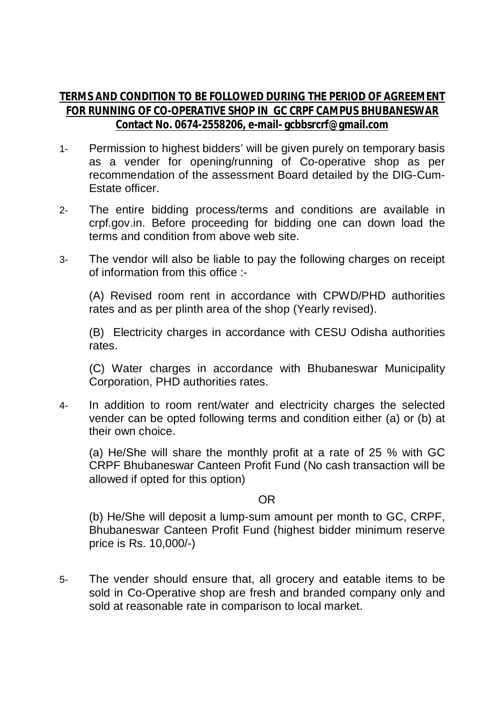## **TERMS AND CONDITION TO BE FOLLOWED DURING THE PERIOD OF AGREEMENT FOR RUNNING OF CO-OPERATIVE SHOP IN GC CRPF CAMPUS BHUBANESWAR Contact No. 0674-2558206, e-mail- gcbbsrcrf@gmail.com**

- 1- Permission to highest bidders' will be given purely on temporary basis as a vender for opening/running of Co-operative shop as per recommendation of the assessment Board detailed by the DIG-Cum-Estate officer.
- 2- The entire bidding process/terms and conditions are available in crpf.gov.in. Before proceeding for bidding one can down load the terms and condition from above web site.
- 3- The vendor will also be liable to pay the following charges on receipt of information from this office :-

(A) Revised room rent in accordance with CPWD/PHD authorities rates and as per plinth area of the shop (Yearly revised).

(B) Electricity charges in accordance with CESU Odisha authorities rates.

(C) Water charges in accordance with Bhubaneswar Municipality Corporation, PHD authorities rates.

4- In addition to room rent/water and electricity charges the selected vender can be opted following terms and condition either (a) or (b) at their own choice.

(a) He/She will share the monthly profit at a rate of 25 % with GC CRPF Bhubaneswar Canteen Profit Fund (No cash transaction will be allowed if opted for this option)

## OR

(b) He/She will deposit a lump-sum amount per month to GC, CRPF, Bhubaneswar Canteen Profit Fund (highest bidder minimum reserve price is Rs. 10,000/-)

5- The vender should ensure that, all grocery and eatable items to be sold in Co-Operative shop are fresh and branded company only and sold at reasonable rate in comparison to local market.